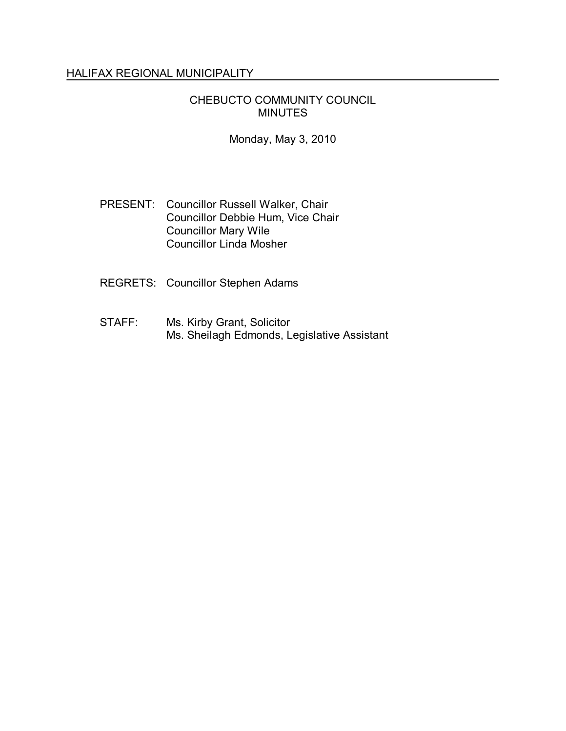## HALIFAX REGIONAL MUNICIPALITY

### CHEBUCTO COMMUNITY COUNCIL MINUTES

Monday, May 3, 2010

- PRESENT: Councillor Russell Walker, Chair Councillor Debbie Hum, Vice Chair Councillor Mary Wile Councillor Linda Mosher
- REGRETS: Councillor Stephen Adams
- STAFF: Ms. Kirby Grant, Solicitor Ms. Sheilagh Edmonds, Legislative Assistant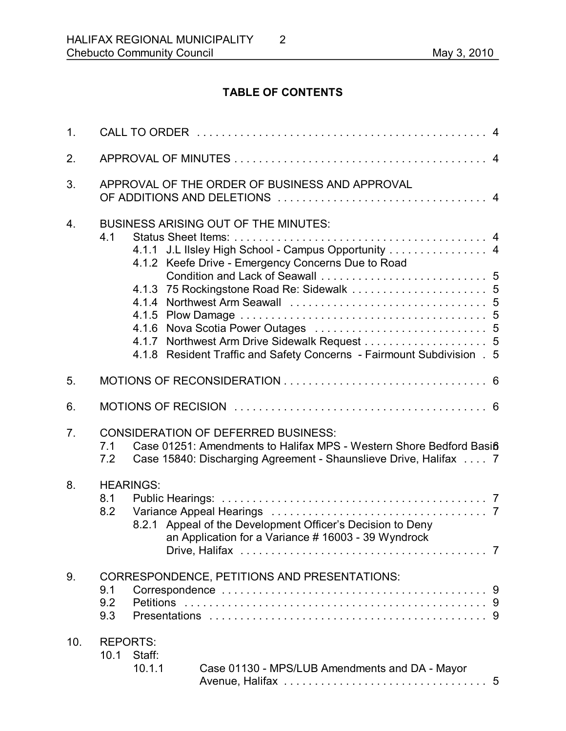# **TABLE OF CONTENTS**

| 1.             |                                                                                                                                                                                                                                                                                                      |  |  |  |  |
|----------------|------------------------------------------------------------------------------------------------------------------------------------------------------------------------------------------------------------------------------------------------------------------------------------------------------|--|--|--|--|
| 2.             |                                                                                                                                                                                                                                                                                                      |  |  |  |  |
| 3.             | APPROVAL OF THE ORDER OF BUSINESS AND APPROVAL                                                                                                                                                                                                                                                       |  |  |  |  |
| 4.             | <b>BUSINESS ARISING OUT OF THE MINUTES:</b><br>4.1<br>4.1.1 J.L IIsley High School - Campus Opportunity  4<br>4.1.2 Keefe Drive - Emergency Concerns Due to Road<br>4.1.3 75 Rockingstone Road Re: Sidewalk  5<br>4.1.7<br>Resident Traffic and Safety Concerns - Fairmount Subdivision . 5<br>4.1.8 |  |  |  |  |
| 5.             |                                                                                                                                                                                                                                                                                                      |  |  |  |  |
| 6.             |                                                                                                                                                                                                                                                                                                      |  |  |  |  |
| 7 <sub>1</sub> | <b>CONSIDERATION OF DEFERRED BUSINESS:</b><br>Case 01251: Amendments to Halifax MPS - Western Shore Bedford Basi6<br>7.1<br>Case 15840: Discharging Agreement - Shaunslieve Drive, Halifax 7<br>7.2                                                                                                  |  |  |  |  |
| 8.             | <b>HEARINGS:</b><br>8.1<br>8.2<br>8.2.1 Appeal of the Development Officer's Decision to Deny<br>an Application for a Variance # 16003 - 39 Wyndrock                                                                                                                                                  |  |  |  |  |
| 9.             | CORRESPONDENCE, PETITIONS AND PRESENTATIONS:<br>9.1<br>9.2<br>9.3                                                                                                                                                                                                                                    |  |  |  |  |
| 10.            | <b>REPORTS:</b><br>Staff:<br>10.1<br>10.1.1<br>Case 01130 - MPS/LUB Amendments and DA - Mayor                                                                                                                                                                                                        |  |  |  |  |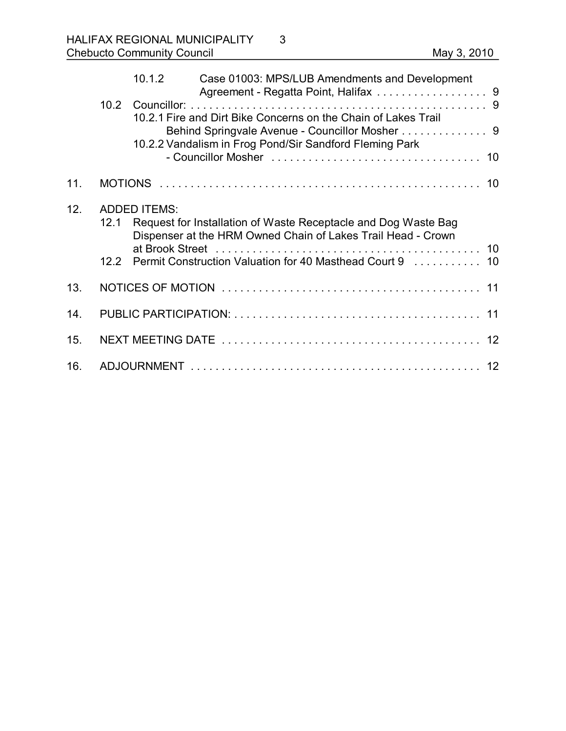|     |                     | 10.1.2 |                                                                | Case 01003: MPS/LUB Amendments and Development           |  |  |
|-----|---------------------|--------|----------------------------------------------------------------|----------------------------------------------------------|--|--|
|     | 10.2 <sub>1</sub>   |        |                                                                |                                                          |  |  |
|     |                     |        | 10.2.1 Fire and Dirt Bike Concerns on the Chain of Lakes Trail | Behind Springvale Avenue - Councillor Mosher 9           |  |  |
|     |                     |        | 10.2.2 Vandalism in Frog Pond/Sir Sandford Fleming Park        |                                                          |  |  |
|     |                     |        |                                                                |                                                          |  |  |
| 11. |                     |        |                                                                |                                                          |  |  |
| 12. | <b>ADDED ITEMS:</b> |        |                                                                |                                                          |  |  |
|     | 12.1                |        | Request for Installation of Waste Receptacle and Dog Waste Bag |                                                          |  |  |
|     |                     |        | Dispenser at the HRM Owned Chain of Lakes Trail Head - Crown   |                                                          |  |  |
|     | 12.2                |        |                                                                | Permit Construction Valuation for 40 Masthead Court 9 10 |  |  |
| 13. |                     |        |                                                                |                                                          |  |  |
| 14. |                     |        |                                                                |                                                          |  |  |
| 15. |                     |        |                                                                |                                                          |  |  |
| 16. |                     |        |                                                                |                                                          |  |  |

3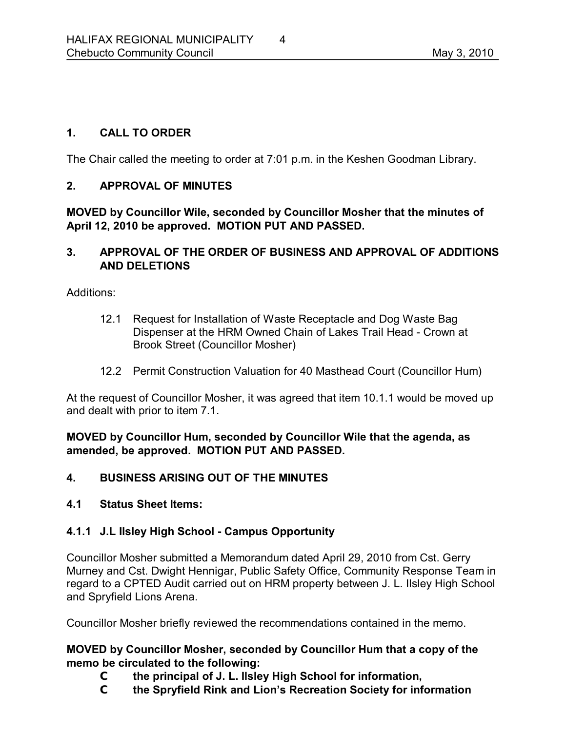## **1. CALL TO ORDER**

The Chair called the meeting to order at 7:01 p.m. in the Keshen Goodman Library.

## **2. APPROVAL OF MINUTES**

**MOVED by Councillor Wile, seconded by Councillor Mosher that the minutes of April 12, 2010 be approved. MOTION PUT AND PASSED.** 

## **3. APPROVAL OF THE ORDER OF BUSINESS AND APPROVAL OF ADDITIONS AND DELETIONS**

Additions:

- 12.1 Request for Installation of Waste Receptacle and Dog Waste Bag Dispenser at the HRM Owned Chain of Lakes Trail Head - Crown at Brook Street (Councillor Mosher)
- 12.2 Permit Construction Valuation for 40 Masthead Court (Councillor Hum)

At the request of Councillor Mosher, it was agreed that item 10.1.1 would be moved up and dealt with prior to item 7.1.

**MOVED by Councillor Hum, seconded by Councillor Wile that the agenda, as amended, be approved. MOTION PUT AND PASSED.** 

## **4. BUSINESS ARISING OUT OF THE MINUTES**

**4.1 Status Sheet Items:**

## **4.1.1 J.L Ilsley High School Campus Opportunity**

Councillor Mosher submitted a Memorandum dated April 29, 2010 from Cst. Gerry Murney and Cst. Dwight Hennigar, Public Safety Office, Community Response Team in regard to a CPTED Audit carried out on HRM property between J. L. Ilsley High School and Spryfield Lions Arena.

Councillor Mosher briefly reviewed the recommendations contained in the memo.

### **MOVED by Councillor Mosher, seconded by Councillor Hum that a copy of the memo be circulated to the following:**

- **C the principal of J. L. Ilsley High School for information,**
- **C the Spryfield Rink and Lion's Recreation Society for information**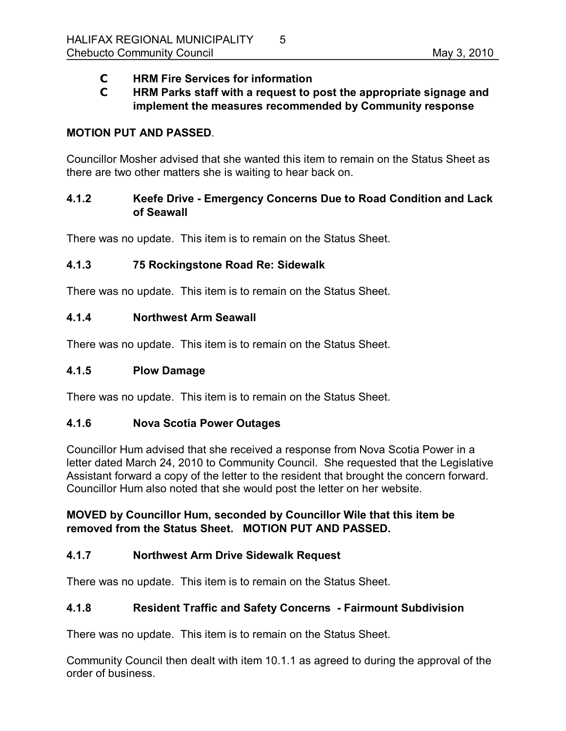- **C HRM Fire Services for information**
- **C HRM Parks staff with a request to post the appropriate signage and implement the measures recommended by Community response**

#### **MOTION PUT AND PASSED**.

Councillor Mosher advised that she wanted this item to remain on the Status Sheet as there are two other matters she is waiting to hear back on.

### **4.1.2 Keefe Drive Emergency Concerns Due to Road Condition and Lack of Seawall**

There was no update. This item is to remain on the Status Sheet.

### **4.1.3 75 Rockingstone Road Re: Sidewalk**

There was no update. This item is to remain on the Status Sheet.

### **4.1.4 Northwest Arm Seawall**

There was no update. This item is to remain on the Status Sheet.

#### **4.1.5 Plow Damage**

There was no update. This item is to remain on the Status Sheet.

## **4.1.6 Nova Scotia Power Outages**

Councillor Hum advised that she received a response from Nova Scotia Power in a letter dated March 24, 2010 to Community Council. She requested that the Legislative Assistant forward a copy of the letter to the resident that brought the concern forward. Councillor Hum also noted that she would post the letter on her website.

### **MOVED by Councillor Hum, seconded by Councillor Wile that this item be removed from the Status Sheet. MOTION PUT AND PASSED.**

## **4.1.7 Northwest Arm Drive Sidewalk Request**

There was no update. This item is to remain on the Status Sheet.

## **4.1.8 Resident Traffic and Safety Concerns Fairmount Subdivision**

There was no update. This item is to remain on the Status Sheet.

Community Council then dealt with item 10.1.1 as agreed to during the approval of the order of business.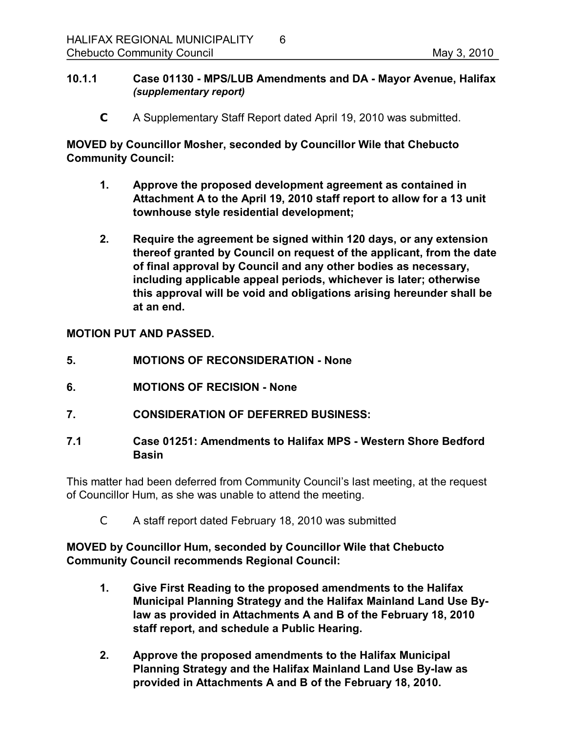#### **10.1.1 Case 01130 MPS/LUB Amendments and DA Mayor Avenue, Halifax** *(supplementary report)*

**C** A Supplementary Staff Report dated April 19, 2010 was submitted.

**MOVED by Councillor Mosher, seconded by Councillor Wile that Chebucto Community Council:**

- **1. Approve the proposed development agreement as contained in Attachment A to the April 19, 2010 staff report to allow for a 13 unit townhouse style residential development;**
- **2. Require the agreement be signed within 120 days, or any extension thereof granted by Council on request of the applicant, from the date of final approval by Council and any other bodies as necessary, including applicable appeal periods, whichever is later; otherwise this approval will be void and obligations arising hereunder shall be at an end.**

#### **MOTION PUT AND PASSED.**

- **5. MOTIONS OF RECONSIDERATION None**
- **6. MOTIONS OF RECISION None**
- **7. CONSIDERATION OF DEFERRED BUSINESS:**
- **7.1 Case 01251: Amendments to Halifax MPS Western Shore Bedford Basin**

This matter had been deferred from Community Council's last meeting, at the request of Councillor Hum, as she was unable to attend the meeting.

C A staff report dated February 18, 2010 was submitted

**MOVED by Councillor Hum, seconded by Councillor Wile that Chebucto Community Council recommends Regional Council:**

- **1. Give First Reading to the proposed amendments to the Halifax Municipal Planning Strategy and the Halifax Mainland Land Use Bylaw as provided in Attachments A and B of the February 18, 2010 staff report, and schedule a Public Hearing.**
- **2. Approve the proposed amendments to the Halifax Municipal Planning Strategy and the Halifax Mainland Land Use By-law as provided in Attachments A and B of the February 18, 2010.**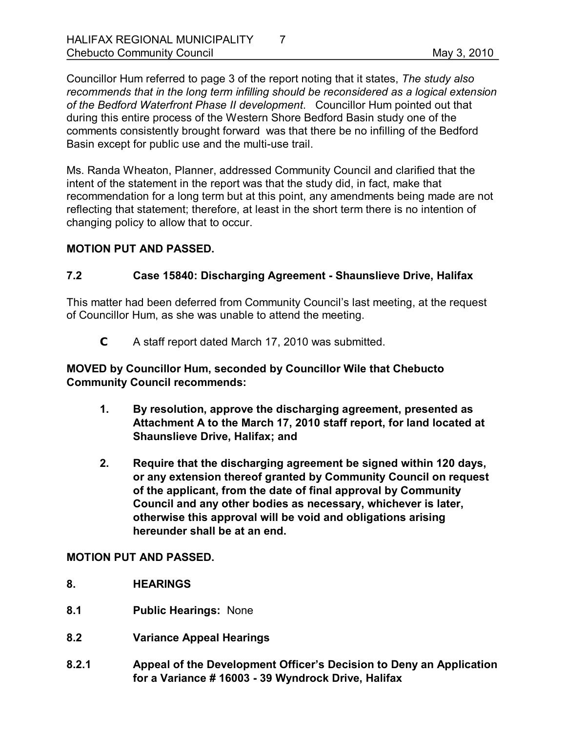Councillor Hum referred to page 3 of the report noting that it states, *The study also recommends that in the long term infilling should be reconsidered as a logical extension of the Bedford Waterfront Phase II development*. Councillor Hum pointed out that during this entire process of the Western Shore Bedford Basin study one of the comments consistently brought forward was that there be no infilling of the Bedford Basin except for public use and the multi-use trail.

Ms. Randa Wheaton, Planner, addressed Community Council and clarified that the intent of the statement in the report was that the study did, in fact, make that recommendation for a long term but at this point, any amendments being made are not reflecting that statement; therefore, at least in the short term there is no intention of changing policy to allow that to occur.

#### **MOTION PUT AND PASSED.**

### **7.2 Case 15840: Discharging Agreement Shaunslieve Drive, Halifax**

This matter had been deferred from Community Council's last meeting, at the request of Councillor Hum, as she was unable to attend the meeting.

**C** A staff report dated March 17, 2010 was submitted.

**MOVED by Councillor Hum, seconded by Councillor Wile that Chebucto Community Council recommends:**

- **1. By resolution, approve the discharging agreement, presented as Attachment A to the March 17, 2010 staff report, for land located at Shaunslieve Drive, Halifax; and**
- **2. Require that the discharging agreement be signed within 120 days, or any extension thereof granted by Community Council on request of the applicant, from the date of final approval by Community Council and any other bodies as necessary, whichever is later, otherwise this approval will be void and obligations arising hereunder shall be at an end.**

**MOTION PUT AND PASSED.** 

- **8. HEARINGS**
- **8.1 Public Hearings:** None
- **8.2 Variance Appeal Hearings**
- **8.2.1 Appeal of the Development Officer's Decision to Deny an Application for a Variance # 16003 39 Wyndrock Drive, Halifax**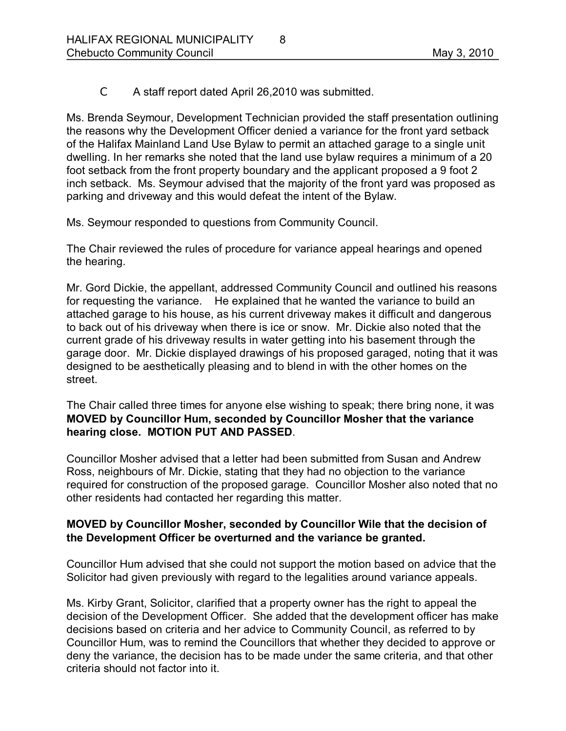C A staff report dated April 26,2010 was submitted.

Ms. Brenda Seymour, Development Technician provided the staff presentation outlining the reasons why the Development Officer denied a variance for the front yard setback of the Halifax Mainland Land Use Bylaw to permit an attached garage to a single unit dwelling. In her remarks she noted that the land use bylaw requires a minimum of a 20 foot setback from the front property boundary and the applicant proposed a 9 foot 2 inch setback. Ms. Seymour advised that the majority of the front yard was proposed as parking and driveway and this would defeat the intent of the Bylaw.

Ms. Seymour responded to questions from Community Council.

The Chair reviewed the rules of procedure for variance appeal hearings and opened the hearing.

Mr. Gord Dickie, the appellant, addressed Community Council and outlined his reasons for requesting the variance. He explained that he wanted the variance to build an attached garage to his house, as his current driveway makes it difficult and dangerous to back out of his driveway when there is ice or snow. Mr. Dickie also noted that the current grade of his driveway results in water getting into his basement through the garage door. Mr. Dickie displayed drawings of his proposed garaged, noting that it was designed to be aesthetically pleasing and to blend in with the other homes on the street.

The Chair called three times for anyone else wishing to speak; there bring none, it was **MOVED by Councillor Hum, seconded by Councillor Mosher that the variance hearing close. MOTION PUT AND PASSED**.

Councillor Mosher advised that a letter had been submitted from Susan and Andrew Ross, neighbours of Mr. Dickie, stating that they had no objection to the variance required for construction of the proposed garage. Councillor Mosher also noted that no other residents had contacted her regarding this matter.

### **MOVED by Councillor Mosher, seconded by Councillor Wile that the decision of the Development Officer be overturned and the variance be granted.**

Councillor Hum advised that she could not support the motion based on advice that the Solicitor had given previously with regard to the legalities around variance appeals.

Ms. Kirby Grant, Solicitor, clarified that a property owner has the right to appeal the decision of the Development Officer. She added that the development officer has make decisions based on criteria and her advice to Community Council, as referred to by Councillor Hum, was to remind the Councillors that whether they decided to approve or deny the variance, the decision has to be made under the same criteria, and that other criteria should not factor into it.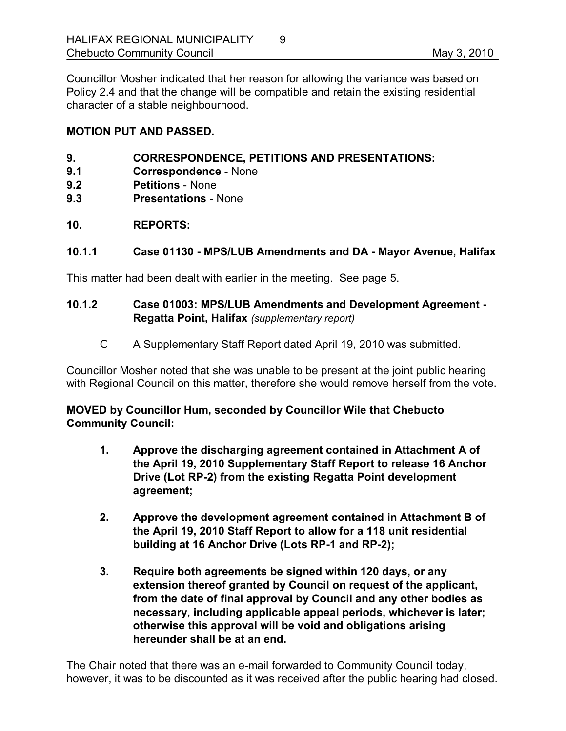Councillor Mosher indicated that her reason for allowing the variance was based on Policy 2.4 and that the change will be compatible and retain the existing residential character of a stable neighbourhood.

#### **MOTION PUT AND PASSED.**

- **9. CORRESPONDENCE, PETITIONS AND PRESENTATIONS:**
- **9.1 Correspondence** None
- **9.2 Petitions** None
- **9.3 Presentations** None
- **10. REPORTS:**

### **10.1.1 Case 01130 MPS/LUB Amendments and DA Mayor Avenue, Halifax**

This matter had been dealt with earlier in the meeting. See page 5.

### **10.1.2 Case 01003: MPS/LUB Amendments and Development Agreement Regatta Point, Halifax** *(supplementary report)*

C A Supplementary Staff Report dated April 19, 2010 was submitted.

Councillor Mosher noted that she was unable to be present at the joint public hearing with Regional Council on this matter, therefore she would remove herself from the vote.

### **MOVED by Councillor Hum, seconded by Councillor Wile that Chebucto Community Council:**

- **1. Approve the discharging agreement contained in Attachment A of the April 19, 2010 Supplementary Staff Report to release 16 Anchor Drive (Lot RP2) from the existing Regatta Point development agreement;**
- **2. Approve the development agreement contained in Attachment B of the April 19, 2010 Staff Report to allow for a 118 unit residential** building at 16 Anchor Drive (Lots RP-1 and RP-2);
- **3. Require both agreements be signed within 120 days, or any extension thereof granted by Council on request of the applicant, from the date of final approval by Council and any other bodies as necessary, including applicable appeal periods, whichever is later; otherwise this approval will be void and obligations arising hereunder shall be at an end.**

The Chair noted that there was an e-mail forwarded to Community Council today, however, it was to be discounted as it was received after the public hearing had closed.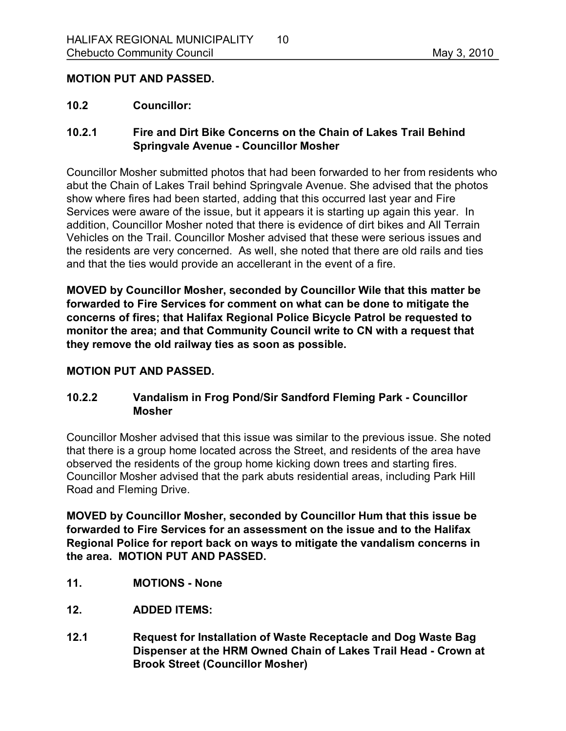### **MOTION PUT AND PASSED.**

#### **10.2 Councillor:**

## **10.2.1 Fire and Dirt Bike Concerns on the Chain of Lakes Trail Behind Springvale Avenue Councillor Mosher**

Councillor Mosher submitted photos that had been forwarded to her from residents who abut the Chain of Lakes Trail behind Springvale Avenue. She advised that the photos show where fires had been started, adding that this occurred last year and Fire Services were aware of the issue, but it appears it is starting up again this year. In addition, Councillor Mosher noted that there is evidence of dirt bikes and All Terrain Vehicles on the Trail. Councillor Mosher advised that these were serious issues and the residents are very concerned. As well, she noted that there are old rails and ties and that the ties would provide an accellerant in the event of a fire.

**MOVED by Councillor Mosher, seconded by Councillor Wile that this matter be forwarded to Fire Services for comment on what can be done to mitigate the concerns of fires; that Halifax Regional Police Bicycle Patrol be requested to monitor the area; and that Community Council write to CN with a request that they remove the old railway ties as soon as possible.**

#### **MOTION PUT AND PASSED.**

## **10.2.2 Vandalism in Frog Pond/Sir Sandford Fleming Park Councillor Mosher**

Councillor Mosher advised that this issue was similar to the previous issue. She noted that there is a group home located across the Street, and residents of the area have observed the residents of the group home kicking down trees and starting fires. Councillor Mosher advised that the park abuts residential areas, including Park Hill Road and Fleming Drive.

**MOVED by Councillor Mosher, seconded by Councillor Hum that this issue be forwarded to Fire Services for an assessment on the issue and to the Halifax Regional Police for report back on ways to mitigate the vandalism concerns in the area. MOTION PUT AND PASSED.** 

- **11. MOTIONS None**
- **12. ADDED ITEMS:**
- **12.1 Request for Installation of Waste Receptacle and Dog Waste Bag Dispenser at the HRM Owned Chain of Lakes Trail Head Crown at Brook Street (Councillor Mosher)**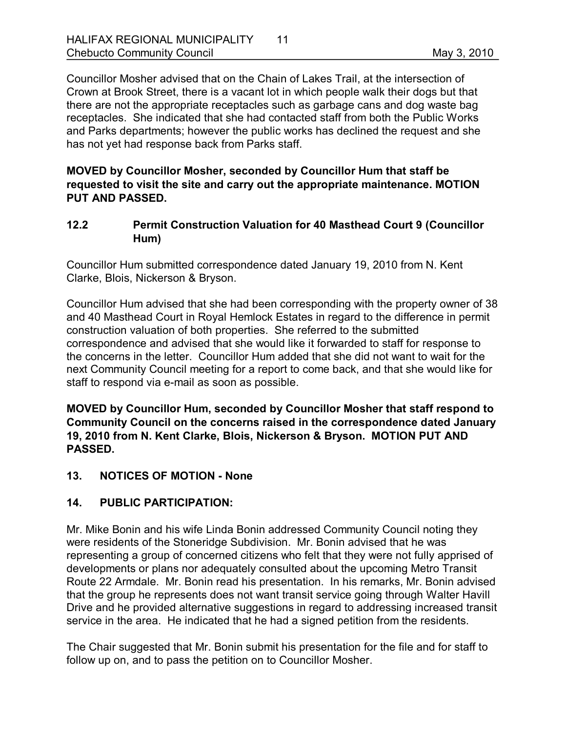Councillor Mosher advised that on the Chain of Lakes Trail, at the intersection of Crown at Brook Street, there is a vacant lot in which people walk their dogs but that there are not the appropriate receptacles such as garbage cans and dog waste bag receptacles. She indicated that she had contacted staff from both the Public Works and Parks departments; however the public works has declined the request and she has not yet had response back from Parks staff.

**MOVED by Councillor Mosher, seconded by Councillor Hum that staff be requested to visit the site and carry out the appropriate maintenance. MOTION PUT AND PASSED.** 

### **12.2 Permit Construction Valuation for 40 Masthead Court 9 (Councillor Hum)**

Councillor Hum submitted correspondence dated January 19, 2010 from N. Kent Clarke, Blois, Nickerson & Bryson.

Councillor Hum advised that she had been corresponding with the property owner of 38 and 40 Masthead Court in Royal Hemlock Estates in regard to the difference in permit construction valuation of both properties. She referred to the submitted correspondence and advised that she would like it forwarded to staff for response to the concerns in the letter. Councillor Hum added that she did not want to wait for the next Community Council meeting for a report to come back, and that she would like for staff to respond via e-mail as soon as possible.

**MOVED by Councillor Hum, seconded by Councillor Mosher that staff respond to Community Council on the concerns raised in the correspondence dated January 19, 2010 from N. Kent Clarke, Blois, Nickerson & Bryson. MOTION PUT AND PASSED.** 

## 13. **NOTICES OF MOTION - None**

## **14. PUBLIC PARTICIPATION:**

Mr. Mike Bonin and his wife Linda Bonin addressed Community Council noting they were residents of the Stoneridge Subdivision. Mr. Bonin advised that he was representing a group of concerned citizens who felt that they were not fully apprised of developments or plans nor adequately consulted about the upcoming Metro Transit Route 22 Armdale. Mr. Bonin read his presentation. In his remarks, Mr. Bonin advised that the group he represents does not want transit service going through Walter Havill Drive and he provided alternative suggestions in regard to addressing increased transit service in the area. He indicated that he had a signed petition from the residents.

The Chair suggested that Mr. Bonin submit his presentation for the file and for staff to follow up on, and to pass the petition on to Councillor Mosher.